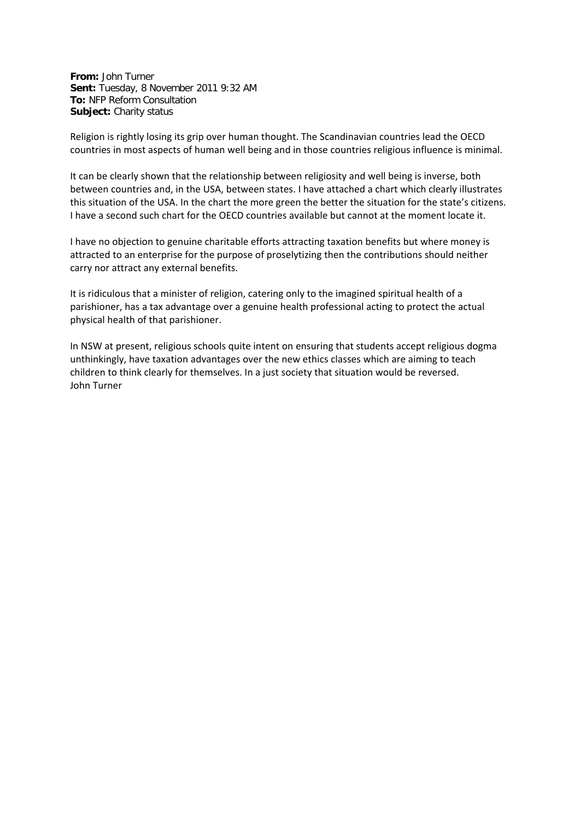**From:** John Turner **Sent:** Tuesday, 8 November 2011 9:32 AM **To:** NFP Reform Consultation **Subject:** Charity status

Religion is rightly losing its grip over human thought. The Scandinavian countries lead the OECD countries in most aspects of human well being and in those countries religious influence is minimal.

It can be clearly shown that the relationship between religiosity and well being is inverse, both between countries and, in the USA, between states. I have attached a chart which clearly illustrates this situation of the USA. In the chart the more green the better the situation for the state's citizens. I have a second such chart for the OECD countries available but cannot at the moment locate it.

I have no objection to genuine charitable efforts attracting taxation benefits but where money is attracted to an enterprise for the purpose of proselytizing then the contributions should neither carry nor attract any external benefits.

It is ridiculous that a minister of religion, catering only to the imagined spiritual health of a parishioner, has a tax advantage over a genuine health professional acting to protect the actual physical health of that parishioner.

In NSW at present, religious schools quite intent on ensuring that students accept religious dogma unthinkingly, have taxation advantages over the new ethics classes which are aiming to teach children to think clearly for themselves. In a just society that situation would be reversed. John Turner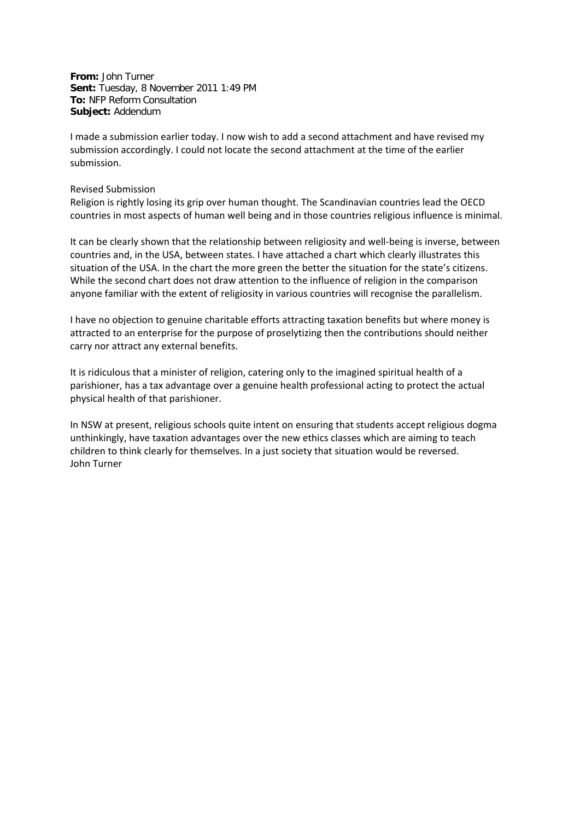**From:** John Turner **Sent:** Tuesday, 8 November 2011 1:49 PM **To:** NFP Reform Consultation **Subject:** Addendum

I made a submission earlier today. I now wish to add a second attachment and have revised my submission accordingly. I could not locate the second attachment at the time of the earlier submission.

## Revised Submission

Religion is rightly losing its grip over human thought. The Scandinavian countries lead the OECD countries in most aspects of human well being and in those countries religious influence is minimal.

It can be clearly shown that the relationship between religiosity and well-being is inverse, between countries and, in the USA, between states. I have attached a chart which clearly illustrates this situation of the USA. In the chart the more green the better the situation for the state's citizens. While the second chart does not draw attention to the influence of religion in the comparison anyone familiar with the extent of religiosity in various countries will recognise the parallelism.

I have no objection to genuine charitable efforts attracting taxation benefits but where money is attracted to an enterprise for the purpose of proselytizing then the contributions should neither carry nor attract any external benefits.

It is ridiculous that a minister of religion, catering only to the imagined spiritual health of a parishioner, has a tax advantage over a genuine health professional acting to protect the actual physical health of that parishioner.

In NSW at present, religious schools quite intent on ensuring that students accept religious dogma unthinkingly, have taxation advantages over the new ethics classes which are aiming to teach children to think clearly for themselves. In a just society that situation would be reversed. John Turner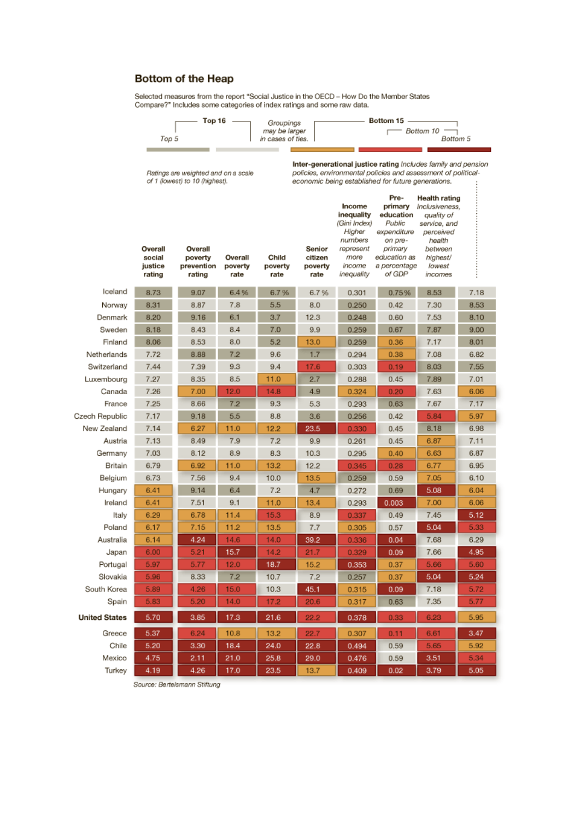## Bottom of the Heap

Selected measures from the report "Social Justice in the OECD - How Do the Member States<br>Compare?" Includes some categories of index ratings and some raw data.

| Top 5 | Top 16<br>Groupings<br>may be larger<br>in cases of ties. | Bottom 15 -<br>- Bottom 10 –<br>Bottom 5 |
|-------|-----------------------------------------------------------|------------------------------------------|
|       |                                                           |                                          |
|       |                                                           |                                          |

Ratings are weighted and on a scale<br>of 1 (lowest) to 10 (highest).

Inter-generational justice rating Includes family and pension policies, environmental policies and assessment of political-<br>economic being established for future generations. ļ

|                      | Overall<br>social<br>justice<br>rating | Overall<br>poverty<br>prevention<br>rating | Overall<br>poverty<br>rate | Child<br>poverty<br>rate | Senior<br>citizen<br>poverty<br>rate | Income<br>inequality<br>(Gini Index)<br>Higher<br>numbers<br>represent<br>more<br>income<br>inequality | Pre-<br>primary<br>education<br>Public<br>expenditure<br>on pre-<br>primary<br>education as<br>a percentage<br>of GDP | <b>Health rating</b><br>Inclusiveness,<br>quality of<br>service, and<br>perceived<br>health<br>between<br>hiahest/<br>lowest<br>incomes |      |
|----------------------|----------------------------------------|--------------------------------------------|----------------------------|--------------------------|--------------------------------------|--------------------------------------------------------------------------------------------------------|-----------------------------------------------------------------------------------------------------------------------|-----------------------------------------------------------------------------------------------------------------------------------------|------|
| Iceland              | 8.73                                   | 9.07                                       | 6.4%                       | 6.7%                     | 6.7%                                 | 0.301                                                                                                  | 0.75%                                                                                                                 | 8.53                                                                                                                                    | 7.18 |
| Norway               | 8.31                                   | 8.87                                       | 7.8                        | 5.5                      | 8.0                                  | 0.250                                                                                                  | 0.42                                                                                                                  | 7.30                                                                                                                                    | 8.53 |
| Denmark              | 8.20                                   | 9.16                                       | 6.1                        | 3.7                      | 12.3                                 | 0.248                                                                                                  | 0.60                                                                                                                  | 7.53                                                                                                                                    | 8.10 |
| Sweden               | 8.18                                   | 8.43                                       | 8.4                        | 7.0                      | 9.9                                  | 0.259                                                                                                  | 0.67                                                                                                                  | 7.87                                                                                                                                    | 9.00 |
| Finland              | 8.06                                   | 8.53                                       | 8.0                        | 5.2                      | 13.0                                 | 0.259                                                                                                  | 0.36                                                                                                                  | 7.17                                                                                                                                    | 8.01 |
| Netherlands          | 7.72                                   | 8.88                                       | 7.2                        | 9.6                      | 1.7                                  | 0.294                                                                                                  | 0.38                                                                                                                  | 7.08                                                                                                                                    | 6.82 |
| Switzerland          | 7.44                                   | 7.39                                       | 9.3                        | 9.4                      | 17.6                                 | 0.303                                                                                                  | 0.19                                                                                                                  | 8.03                                                                                                                                    | 7.55 |
| Luxembourg           | 7.27                                   | 8.35                                       | 8.5                        | 11.0                     | 2.7                                  | 0.288                                                                                                  | 0.45                                                                                                                  | 7.89                                                                                                                                    | 7.01 |
| Canada               | 7.26                                   | 7.00                                       | 12.0                       | 14.8                     | 4.9                                  | 0.324                                                                                                  | 0.20                                                                                                                  | 7.63                                                                                                                                    | 6.06 |
| France               | 7.25                                   | 8.66                                       | 7.2                        | 9.3                      | 5.3                                  | 0.293                                                                                                  | 0.63                                                                                                                  | 7.67                                                                                                                                    | 7.17 |
| Czech Republic       | 7.17                                   | 9.18                                       | 5.5                        | 8.8                      | 3.6                                  | 0.256                                                                                                  | 0.42                                                                                                                  | 5.84                                                                                                                                    | 5.97 |
| New Zealand          | 7.14                                   | 6.27                                       | 11.0                       | 12.2                     | 23.5                                 | 0.330                                                                                                  | 0.45                                                                                                                  | 8.18                                                                                                                                    | 6.98 |
| Austria              | 7.13                                   | 8.49                                       | 7.9                        | 7.2                      | 9.9                                  | 0.261                                                                                                  | 0.45                                                                                                                  | 6.87                                                                                                                                    | 7.11 |
| Germany              | 7.03                                   | 8.12                                       | 8.9                        | 8.3                      | 10.3                                 | 0.295                                                                                                  | 0.40                                                                                                                  | 6.63                                                                                                                                    | 6.87 |
| Britain              | 6.79                                   | 6.92                                       | 11.0                       | 13.2                     | 12.2                                 | 0.345                                                                                                  | 0.28                                                                                                                  | 6.77                                                                                                                                    | 6.95 |
| Belgium              | 6.73                                   | 7.56                                       | 9.4                        | 10.0                     | 13.5                                 | 0.259                                                                                                  | 0.59                                                                                                                  | 7.05                                                                                                                                    | 6.10 |
| Hungary              | 6.41                                   | 9.14                                       | 6.4                        | 7.2                      | 4.7                                  | 0.272                                                                                                  | 0.69                                                                                                                  | 5.08                                                                                                                                    | 6.04 |
| Ireland              | 6.41                                   | 7.51                                       | 9.1                        | 11.0                     | 13.4                                 | 0.293                                                                                                  | 0.003                                                                                                                 | 7.00                                                                                                                                    | 6.06 |
| Italy                | 6.29                                   | 6.78                                       | 11.4                       | 15.3                     | 8.9                                  | 0.337                                                                                                  | 0.49                                                                                                                  | 7.45                                                                                                                                    | 5.12 |
| Poland               | 6.17                                   | 7.15                                       | 11.2                       | 13.5                     | 7.7                                  | 0.305                                                                                                  | 0.57                                                                                                                  | 5.04                                                                                                                                    | 5.33 |
| Australia            | 6.14                                   | 4.24                                       | 14.6                       | 14.0                     | 39.2                                 | 0.336                                                                                                  | 0.04                                                                                                                  | 7.68                                                                                                                                    | 6.29 |
| Japan                | 6.00                                   | 5.21                                       | 15.7                       | 14.2                     | 21.7                                 | 0.329                                                                                                  | 0.09                                                                                                                  | 7.66                                                                                                                                    | 4.95 |
| Portugal             | 5.97                                   | 5.77                                       | 12.0                       | 18.7                     | 15.2                                 | 0.353                                                                                                  | 0.37                                                                                                                  | 5.66                                                                                                                                    | 5.60 |
| Slovakia             | 5.96                                   | 8.33                                       | 7.2                        | 10.7                     | 7.2                                  | 0.257                                                                                                  | 0.37                                                                                                                  | 5.04                                                                                                                                    | 5.24 |
| South Korea          | 5.89                                   | 4.26                                       | 15.0                       | 10.3                     | 45.1                                 | 0.315                                                                                                  | 0.09                                                                                                                  | 7.18                                                                                                                                    | 5.72 |
| Spain                | 5.83                                   | 5.20                                       | 14.0                       | 17.2                     | 20.6                                 | 0.317                                                                                                  | 0.63                                                                                                                  | 7.35                                                                                                                                    | 5.77 |
| <b>United States</b> | 5.70                                   | 3.85                                       | 17.3                       | 21.6                     | 22.2                                 | 0.378                                                                                                  | 0.33                                                                                                                  | 6.23                                                                                                                                    | 5.95 |
| Greece               | 5.37                                   | 6.24                                       | 10.8                       | 13.2                     | 22.7                                 | 0.307                                                                                                  | 0.11                                                                                                                  | 6.61                                                                                                                                    | 3.47 |
| Chile                | 5.20                                   | 3.30                                       | 18.4                       | 24.0                     | 22.8                                 | 0.494                                                                                                  | 0.59                                                                                                                  | 5.65                                                                                                                                    | 5.92 |
| Mexico               | 4.75                                   | 2.11                                       | 21.0                       | 25.8                     | 29.0                                 | 0.476                                                                                                  | 0.59                                                                                                                  | 3.51                                                                                                                                    | 5.34 |
| Turkey               | 4.19                                   | 4.26                                       | 17.0                       | 23.5                     | 13.7                                 | 0.409                                                                                                  | 0.02                                                                                                                  | 3.79                                                                                                                                    | 5.05 |

Source: Bertelsmann Stiftung